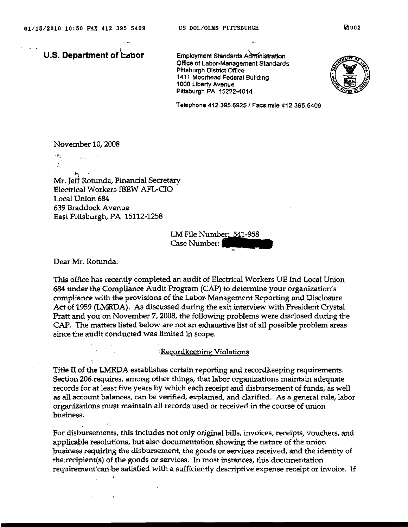Office of Labor-Management Standards Pittsburgh District Office 1411 Moorhead Federal Building 1000 Liberty Avenue Pittsburgh PA 15222-4014



Telephone 412.395.6925/ Facsimile 412.395.5409

November 10, 2008

. ,.-., Mr. Jeff Rotunda, Financial Secretary Electrical Workers IBEW AFL-CIO Local Union 684 639 Braddock Avenue East Pittsburgh, PA 15112-1258

LM File Number: 541-958<br>Case Number:

Dear Mr. Rotunda:

This office has recently completed an audit of Electrical Workers UE Ind Local Union 684 under the Compliance Audit Program (CAP) to determine your organization's compliance with the provisions of the Labor-Management Reporting and Disclosure Act of 1959 (LMRDA). As discussed during the exit interview with President Crystal Pratt and you on November 7, 2008, the following problems were disclosed during the CAP. The matters listed below are not an exhaustive list of all possible problem areas since the audit conducted was limited in scope.

### :Recordkeeping Violations

Title II of the LMRDA establishes certain reporting and recordkeeping requirements. Section 206.requires, among other things, that labor organizations maintain adequate records for at least five years by which each receipt and disbursement of funds, as well as all account balances, can be verified, explained, and clarified. As a general rule, labor organizations must maintain all records used or received in the course of union business.

For disbursements, this includes not only original bills, invoices, receipts, vouchers, and applicable resolutions, but also documentation showing the nature of the union pusiness requiring the disbursement, the goods or services received, and the identity of the recipient(s) of the goods or services. In most instances, this documentation requirement can be satisfied with a sufficiently descriptive expense receipt or invoice. If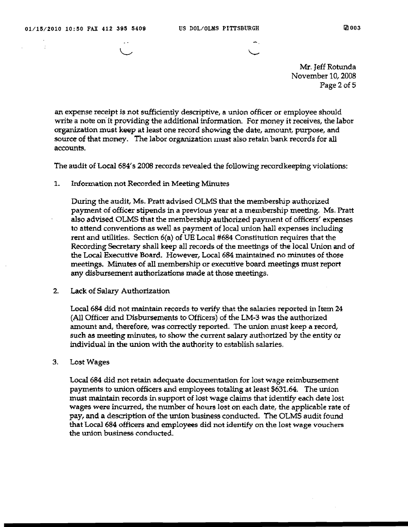$\bar{\phantom{a}}$ 

Mr. Jeff Rotunda November 10, 2008 Page 2 of 5

an expense receipt is not sufficiently descriptive, a union officer or employee should write a note on it providing the additional information. For money it receives, the labor organization must keep at least one record showing the date, amount, purpose, and source of that money. The labor organization must also retain bank records for all accounts.

The audit of Local 684's 2008 records revealed the following recordkeeping violations:

1. Information not Recorded in Meeting Minutes

During the audit, Ms. Pratt advised OLMS that the membership authorized payment of officer stipends in a previous year at a membership meeting. Ms. Pratt also advised OLMS that the membership authorized payment of officers' expenses to attend conventions as well as payment of local union hall expenses including rent and utilities. Section 6(a) of UE Local #684 Constitution requires that the Recording Secretary shall keep all records of the meetings of the local Union and of the Local Executive Board. However, Local 684 maintained no minutes of those meetings. Minutes of all membership or executive board meetings must report any disbursement authorizations made at those meetings.

### 2. Lack of Salary Authorization

Local 684 did not maintain records to verify that the salaries reported in Item 24 (All Officer and Disbursements to Officers) of the LM-3 was the authorized amount and, therefore, was correctly reported. The union must keep a record, such as meeting minutes, to show the current salary authorized by the entity or individual in the union with the authority to establish salaries,

3. Lost Wages

Local 684 did not retain adequate documentation for lost wage reimbursement payments to union officers and employees totaling at least \$631.64. The union must maintain records in support of lost wage claims that identify each date lost wages were incurred, the number of hours lost on each date, the applicable rate of pay, and a description of the union business conducted. The OLMS audit found that Local 684 officers and employees did not identify on the lost wage vouchers the union business conducted.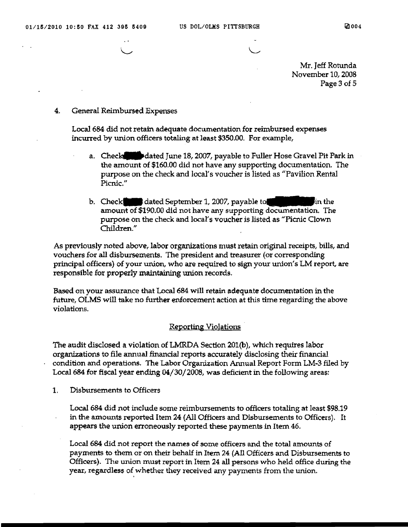Mr. Jeff Rotunda November 10, 2008 Page 3 of 5

## 4. General Reimbursed Expenses

Local 684 did not retain adequate documentation for reimbursed expenses incurred by union officers totaling at least \$350.00. For example,

- a. Check**tless Produced** June 18, 2007, payable to Fuller Hose Gravel Pit Park in the amount of \$160.00 did not have any supporting documentation. The purpose on the check and local's voucher is listed as "Pavilion Rental" Picnic."
- b. Check dated September 1, 2007, payable to in the in the amount of \$190.00 did not have any supporting documentation. The purpose on the check and local's voucher is listed as "Picnic Clown Children."

As previously noted above, labor organizations must retain original receipts, bills, and vouchers for all disbursements. 'The president and treasurer (or corresponding principal officers) of your union, who are required to sign your union's LM report, are responsible for properly maintaining union records.

Based on your assurance that Local 684 will retain adequate documentation in the future, OLMS will take no further enforcement action at this time regarding the above violations.

# Reporting Violations .

The audit disclosed a violation of LMRDA Section 201(b), which requires labor organizations to file annual financial reports accurately disclosing their financial condition and operations. The Labor Organization Annual Report Form LM-3 filed by Local 684 for fiscal year ending 04/30/2008, was deficient in the following areas:

1, Disbursements to Officers

Local 684 did not include some reimbursements to officers totaling at least \$98.19 in the amounts reported Item 24 (All Officers and Disbursements to Officers). It appears the union erroneously reported these payments in Item 46.

Local 684 did not report the names of some officers and the total amounts of payments to them or on their behalf in Item 24 (All Officers and Disbursements to Officers). The union must report in Item 24 all persons who held office during the year, regardless of whether they received any payments from the union.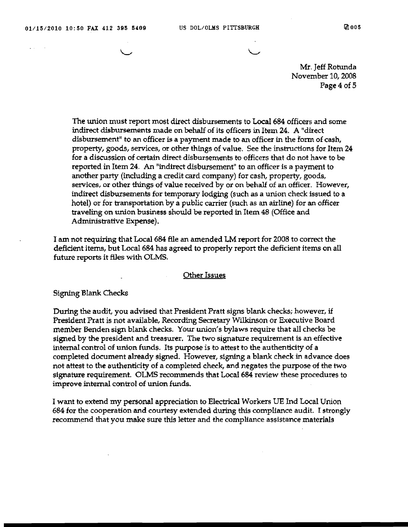$\omega$  and  $\omega$  and  $\omega$ 

Mr. Jeff Rotunda November 10, 2008 Page 4 of 5

The union must report most direct disbursements to Local 684 officers and some indirect disbursements made on behalf of its officers in Item 24. A "direct disbursement" to an officer is a payment made to an officer in the form of cash, property, goods, services, or other things of value. See the instructions for Item 24 for a discussion of certain direct disbursements to officers that do not have to be reported in Item 24. An "indirect disbursement" to an officer is a payment to another party (including a credit card company) for cash, property, goods, services, or other things of value received by or on behalf of an officer. However, indirect disbuxsements for temporary lodging (such as a union check issued to a hotel) or for transportation by a public carrier (such as an airline) for an officer traveling on union business should be reported in Item 48 (Office and Administrative Expense).

I am not requiring that Local 684 file an amended LM report for 2008 to correct the deficient items, but Local 684 has agreed to properly report the deficient items on all future reports it files with OLMS.

### Other Issues

#### Signing Blank Checks

During the audit, you advised that President Pratt signs blank checks; however, if President Pratt is not available, Recording Secretary Wilkinson or Executive Board member Benden sign blank checks. Your union's bylaws require that all checks be signed by the president and treasurer. The two signature requirement is an effective internal control of union funds. Its purpose is to attest to the authenticity of a completed document already signed. However, signing a blank check in advance does not attest to the authenticity of a completed check, and negates the purpose of the two signature requirement. OLMS recommends that Local 684 review these procedures to improve internal control of union funds.

I want to extend my personal appreciation to Electrical Workers DE Ind Local Union 684 for the cooperation and courtesy extended during this compliance audit. I strongly recommend that you make sure this letter and the compliance assistance materials